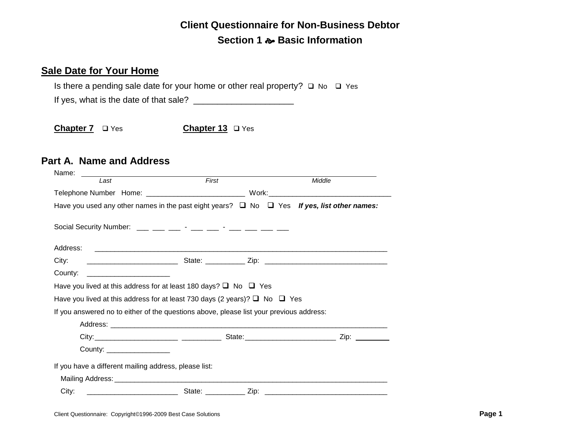# **Client Questionnaire for Non-Business Debtor Section 1 Basic Information**

### **Sale Date for Your Home**

Is there a pending sale date for your home or other real property?  $\Box$  No  $\Box$  Yes

If yes, what is the date of that sale? \_\_\_\_\_\_\_\_\_\_\_\_\_\_\_\_\_\_\_\_\_

Chapter 7 □ Yes **Chapter 13** □ Yes

### **Part A. Name and Address**

| Name:                                                                                                                                                                                                                                                                                                          |       |                                                                                                                      |
|----------------------------------------------------------------------------------------------------------------------------------------------------------------------------------------------------------------------------------------------------------------------------------------------------------------|-------|----------------------------------------------------------------------------------------------------------------------|
| Last                                                                                                                                                                                                                                                                                                           | First | Middle                                                                                                               |
|                                                                                                                                                                                                                                                                                                                |       |                                                                                                                      |
| Have you used any other names in the past eight years? $\Box$ No $\Box$ Yes If yes, list other names:                                                                                                                                                                                                          |       |                                                                                                                      |
| Social Security Number: $\frac{1}{1}$ $\frac{1}{1}$ $\frac{1}{1}$ $\frac{1}{1}$ $\frac{1}{1}$ $\frac{1}{1}$ $\frac{1}{1}$ $\frac{1}{1}$ $\frac{1}{1}$ $\frac{1}{1}$ $\frac{1}{1}$ $\frac{1}{1}$ $\frac{1}{1}$ $\frac{1}{1}$ $\frac{1}{1}$ $\frac{1}{1}$ $\frac{1}{1}$ $\frac{1}{1}$ $\frac{1}{1}$ $\frac{1}{1$ |       |                                                                                                                      |
| Address:                                                                                                                                                                                                                                                                                                       |       | <u> 1990 - Jan James Alemania, martin da shekara ta 1990 - Andrea Alemania a shekara ta 1990 - Andrea Alemania a</u> |
| City:                                                                                                                                                                                                                                                                                                          |       |                                                                                                                      |
| County:                                                                                                                                                                                                                                                                                                        |       |                                                                                                                      |
| Have you lived at this address for at least 180 days? $\Box$ No $\Box$ Yes                                                                                                                                                                                                                                     |       |                                                                                                                      |
| Have you lived at this address for at least 730 days (2 years)? $\Box$ No $\Box$ Yes                                                                                                                                                                                                                           |       |                                                                                                                      |
| If you answered no to either of the questions above, please list your previous address:                                                                                                                                                                                                                        |       |                                                                                                                      |
|                                                                                                                                                                                                                                                                                                                |       |                                                                                                                      |
|                                                                                                                                                                                                                                                                                                                |       |                                                                                                                      |
| County: _________________                                                                                                                                                                                                                                                                                      |       |                                                                                                                      |
| If you have a different mailing address, please list:                                                                                                                                                                                                                                                          |       |                                                                                                                      |
|                                                                                                                                                                                                                                                                                                                |       |                                                                                                                      |
| City:                                                                                                                                                                                                                                                                                                          |       | _______________________________State: _____________Zip: ________________________________                             |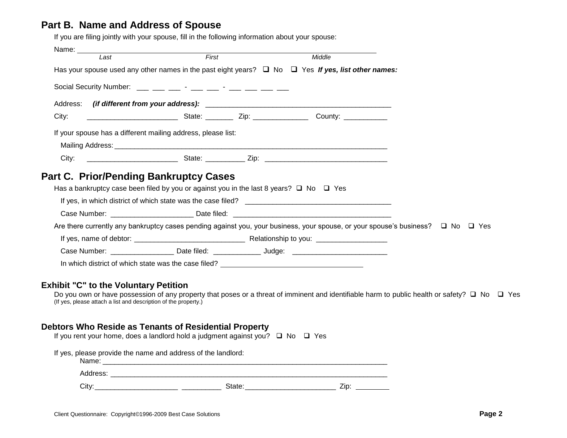### **Part B. Name and Address of Spouse**

If you are filing jointly with your spouse, fill in the following information about your spouse:

|                                                                                                                                                 | First | Middle |  |
|-------------------------------------------------------------------------------------------------------------------------------------------------|-------|--------|--|
| Has your spouse used any other names in the past eight years? $\Box$ No $\Box$ Yes If yes, list other names:                                    |       |        |  |
|                                                                                                                                                 |       |        |  |
|                                                                                                                                                 |       |        |  |
| City:                                                                                                                                           |       |        |  |
| If your spouse has a different mailing address, please list:                                                                                    |       |        |  |
|                                                                                                                                                 |       |        |  |
|                                                                                                                                                 |       |        |  |
| Part C. Prior/Pending Bankruptcy Cases                                                                                                          |       |        |  |
| Has a bankruptcy case been filed by you or against you in the last 8 years? $\Box$ No $\Box$ Yes                                                |       |        |  |
|                                                                                                                                                 |       |        |  |
|                                                                                                                                                 |       |        |  |
| Are there currently any bankruptcy cases pending against you, your business, your spouse, or your spouse's business? $\square$ No $\square$ Yes |       |        |  |
|                                                                                                                                                 |       |        |  |

(If yes, please attach a list and description of the property.)

### **Debtors Who Reside as Tenants of Residential Property**

| If you rent your home, does a landlord hold a judgment against you? $\Box$ No $\Box$ Yes                                                                                                                                       |                                                                                                                                                                                                                                |      |  |
|--------------------------------------------------------------------------------------------------------------------------------------------------------------------------------------------------------------------------------|--------------------------------------------------------------------------------------------------------------------------------------------------------------------------------------------------------------------------------|------|--|
| If yes, please provide the name and address of the landlord:                                                                                                                                                                   |                                                                                                                                                                                                                                |      |  |
| Address: Analysis and the contract of the contract of the contract of the contract of the contract of the contract of the contract of the contract of the contract of the contract of the contract of the contract of the cont |                                                                                                                                                                                                                                |      |  |
| Citv:                                                                                                                                                                                                                          | State: the contract of the contract of the contract of the contract of the contract of the contract of the contract of the contract of the contract of the contract of the contract of the contract of the contract of the con | Zip: |  |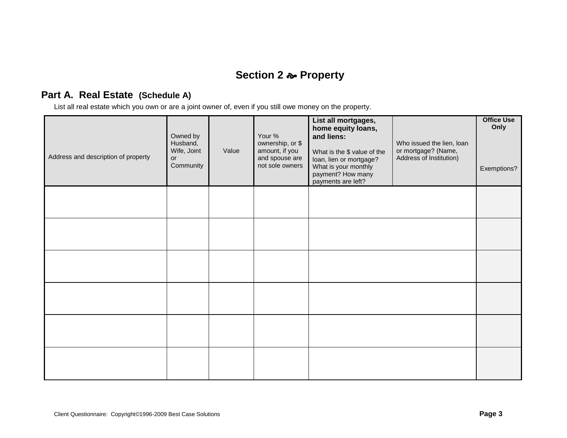# **Section 2 Property**

## **Part A. Real Estate (Schedule A)**

List all real estate which you own or are a joint owner of, even if you still owe money on the property.

| Address and description of property | Owned by<br>Husband,<br>Wife, Joint<br><b>or</b><br>Community | Value | Your %<br>ownership, or \$<br>amount, if you<br>and spouse are<br>not sole owners | List all mortgages,<br>home equity loans,<br>and liens:<br>What is the \$ value of the<br>loan, lien or mortgage?<br>What is your monthly<br>payment? How many<br>payments are left? | Who issued the lien, loan<br>or mortgage? (Name,<br>Address of Institution) | <b>Office Use</b><br>Only<br>Exemptions? |
|-------------------------------------|---------------------------------------------------------------|-------|-----------------------------------------------------------------------------------|--------------------------------------------------------------------------------------------------------------------------------------------------------------------------------------|-----------------------------------------------------------------------------|------------------------------------------|
|                                     |                                                               |       |                                                                                   |                                                                                                                                                                                      |                                                                             |                                          |
|                                     |                                                               |       |                                                                                   |                                                                                                                                                                                      |                                                                             |                                          |
|                                     |                                                               |       |                                                                                   |                                                                                                                                                                                      |                                                                             |                                          |
|                                     |                                                               |       |                                                                                   |                                                                                                                                                                                      |                                                                             |                                          |
|                                     |                                                               |       |                                                                                   |                                                                                                                                                                                      |                                                                             |                                          |
|                                     |                                                               |       |                                                                                   |                                                                                                                                                                                      |                                                                             |                                          |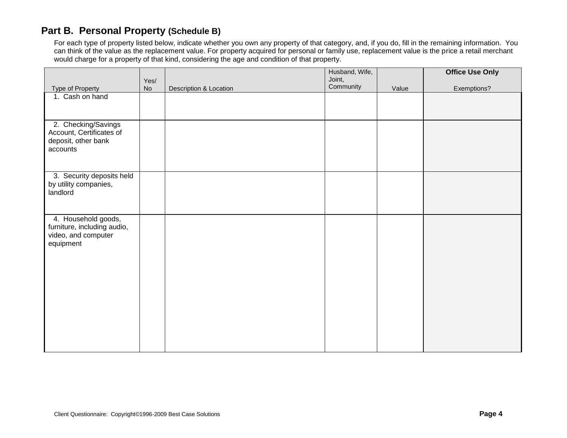## **Part B. Personal Property (Schedule B)**

For each type of property listed below, indicate whether you own any property of that category, and, if you do, fill in the remaining information. You can think of the value as the replacement value. For property acquired for personal or family use, replacement value is the price a retail merchant would charge for a property of that kind, considering the age and condition of that property.

|                                                                                        |            |                        | Husband, Wife,<br>Joint, |       | <b>Office Use Only</b> |
|----------------------------------------------------------------------------------------|------------|------------------------|--------------------------|-------|------------------------|
| <b>Type of Property</b>                                                                | Yes/<br>No | Description & Location | Community                | Value | Exemptions?            |
| 1. Cash on hand                                                                        |            |                        |                          |       |                        |
|                                                                                        |            |                        |                          |       |                        |
| 2. Checking/Savings<br>Account, Certificates of<br>deposit, other bank                 |            |                        |                          |       |                        |
| accounts                                                                               |            |                        |                          |       |                        |
| 3. Security deposits held<br>by utility companies,<br>landlord                         |            |                        |                          |       |                        |
| 4. Household goods,<br>furniture, including audio,<br>video, and computer<br>equipment |            |                        |                          |       |                        |
|                                                                                        |            |                        |                          |       |                        |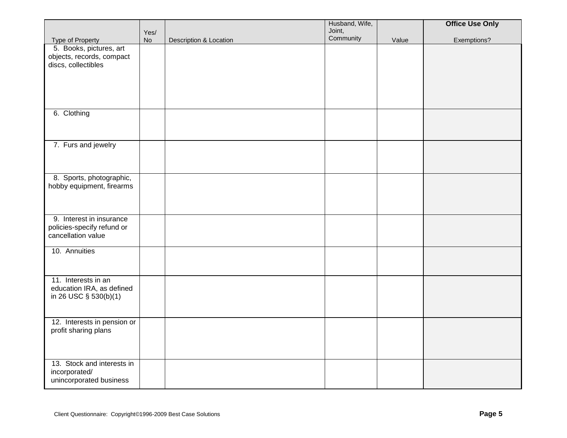|                                                                              |                   |                        | Husband, Wife,<br>Joint, |       | <b>Office Use Only</b> |
|------------------------------------------------------------------------------|-------------------|------------------------|--------------------------|-------|------------------------|
| Type of Property                                                             | Yes/<br><b>No</b> | Description & Location | Community                | Value | Exemptions?            |
| 5. Books, pictures, art<br>objects, records, compact<br>discs, collectibles  |                   |                        |                          |       |                        |
|                                                                              |                   |                        |                          |       |                        |
| 6. Clothing                                                                  |                   |                        |                          |       |                        |
| 7. Furs and jewelry                                                          |                   |                        |                          |       |                        |
| 8. Sports, photographic,<br>hobby equipment, firearms                        |                   |                        |                          |       |                        |
| 9. Interest in insurance<br>policies-specify refund or<br>cancellation value |                   |                        |                          |       |                        |
| 10. Annuities                                                                |                   |                        |                          |       |                        |
| 11. Interests in an<br>education IRA, as defined<br>in 26 USC § 530(b)(1)    |                   |                        |                          |       |                        |
| 12. Interests in pension or<br>profit sharing plans                          |                   |                        |                          |       |                        |
| 13. Stock and interests in<br>incorporated/<br>unincorporated business       |                   |                        |                          |       |                        |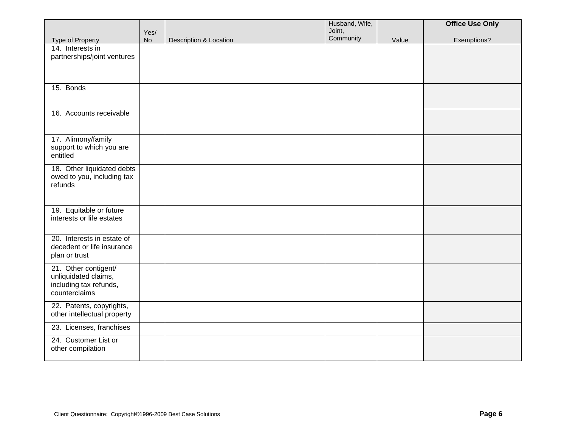|                                      |                   |                        | Husband, Wife,      |       | <b>Office Use Only</b> |
|--------------------------------------|-------------------|------------------------|---------------------|-------|------------------------|
|                                      | Yes/<br><b>No</b> | Description & Location | Joint,<br>Community | Value | Exemptions?            |
| Type of Property<br>14. Interests in |                   |                        |                     |       |                        |
| partnerships/joint ventures          |                   |                        |                     |       |                        |
|                                      |                   |                        |                     |       |                        |
|                                      |                   |                        |                     |       |                        |
| 15. Bonds                            |                   |                        |                     |       |                        |
|                                      |                   |                        |                     |       |                        |
|                                      |                   |                        |                     |       |                        |
| 16. Accounts receivable              |                   |                        |                     |       |                        |
|                                      |                   |                        |                     |       |                        |
|                                      |                   |                        |                     |       |                        |
| 17. Alimony/family                   |                   |                        |                     |       |                        |
| support to which you are<br>entitled |                   |                        |                     |       |                        |
|                                      |                   |                        |                     |       |                        |
| 18. Other liquidated debts           |                   |                        |                     |       |                        |
| owed to you, including tax           |                   |                        |                     |       |                        |
| refunds                              |                   |                        |                     |       |                        |
|                                      |                   |                        |                     |       |                        |
| 19. Equitable or future              |                   |                        |                     |       |                        |
| interests or life estates            |                   |                        |                     |       |                        |
|                                      |                   |                        |                     |       |                        |
| 20. Interests in estate of           |                   |                        |                     |       |                        |
| decedent or life insurance           |                   |                        |                     |       |                        |
| plan or trust                        |                   |                        |                     |       |                        |
| 21. Other contigent/                 |                   |                        |                     |       |                        |
| unliquidated claims,                 |                   |                        |                     |       |                        |
| including tax refunds,               |                   |                        |                     |       |                        |
| counterclaims                        |                   |                        |                     |       |                        |
| 22. Patents, copyrights,             |                   |                        |                     |       |                        |
| other intellectual property          |                   |                        |                     |       |                        |
| 23. Licenses, franchises             |                   |                        |                     |       |                        |
| 24. Customer List or                 |                   |                        |                     |       |                        |
| other compilation                    |                   |                        |                     |       |                        |
|                                      |                   |                        |                     |       |                        |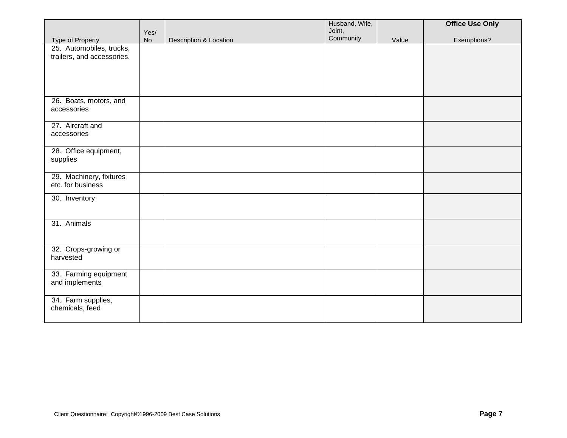|                                              |                   |                        | Husband, Wife,<br>Joint, |       | <b>Office Use Only</b> |
|----------------------------------------------|-------------------|------------------------|--------------------------|-------|------------------------|
| Type of Property                             | Yes/<br><b>No</b> | Description & Location | Community                | Value | Exemptions?            |
| 25. Automobiles, trucks,                     |                   |                        |                          |       |                        |
| trailers, and accessories.                   |                   |                        |                          |       |                        |
|                                              |                   |                        |                          |       |                        |
|                                              |                   |                        |                          |       |                        |
|                                              |                   |                        |                          |       |                        |
| 26. Boats, motors, and<br>accessories        |                   |                        |                          |       |                        |
|                                              |                   |                        |                          |       |                        |
| 27. Aircraft and                             |                   |                        |                          |       |                        |
| accessories                                  |                   |                        |                          |       |                        |
| 28. Office equipment,                        |                   |                        |                          |       |                        |
| supplies                                     |                   |                        |                          |       |                        |
|                                              |                   |                        |                          |       |                        |
| 29. Machinery, fixtures<br>etc. for business |                   |                        |                          |       |                        |
| 30. Inventory                                |                   |                        |                          |       |                        |
|                                              |                   |                        |                          |       |                        |
|                                              |                   |                        |                          |       |                        |
| 31. Animals                                  |                   |                        |                          |       |                        |
|                                              |                   |                        |                          |       |                        |
| 32. Crops-growing or                         |                   |                        |                          |       |                        |
| harvested                                    |                   |                        |                          |       |                        |
| 33. Farming equipment                        |                   |                        |                          |       |                        |
| and implements                               |                   |                        |                          |       |                        |
|                                              |                   |                        |                          |       |                        |
| 34. Farm supplies,<br>chemicals, feed        |                   |                        |                          |       |                        |
|                                              |                   |                        |                          |       |                        |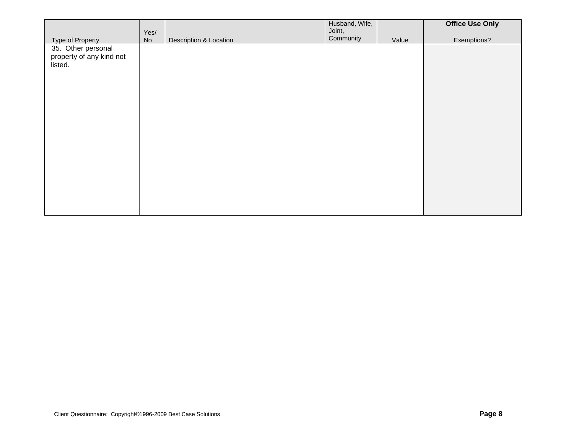|                                                                               |            |                        | Husband, Wife,      |       | <b>Office Use Only</b> |
|-------------------------------------------------------------------------------|------------|------------------------|---------------------|-------|------------------------|
|                                                                               |            |                        |                     |       |                        |
| Type of Property<br>35. Other personal<br>property of any kind not<br>listed. | Yes/<br>No | Description & Location | Joint,<br>Community | Value | Exemptions?            |
|                                                                               |            |                        |                     |       |                        |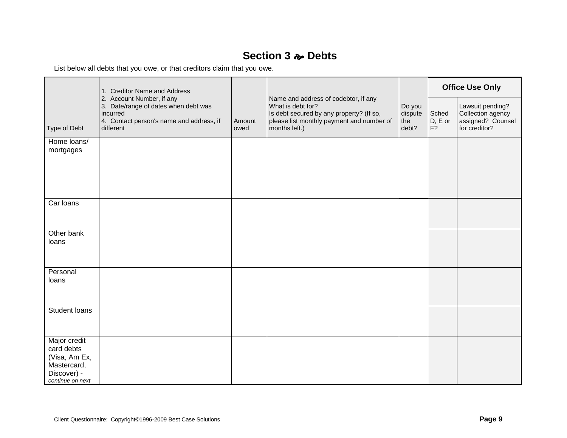## **Section 3 Debts**

List below all debts that you owe, or that creditors claim that you owe.

|                                                                                               | 1. Creditor Name and Address                                                                                                           |                |                                                                                                                                                                     |                                   |                        |                                                                             |  | <b>Office Use Only</b> |
|-----------------------------------------------------------------------------------------------|----------------------------------------------------------------------------------------------------------------------------------------|----------------|---------------------------------------------------------------------------------------------------------------------------------------------------------------------|-----------------------------------|------------------------|-----------------------------------------------------------------------------|--|------------------------|
| Type of Debt                                                                                  | 2. Account Number, if any<br>3. Date/range of dates when debt was<br>incurred<br>4. Contact person's name and address, if<br>different | Amount<br>owed | Name and address of codebtor, if any<br>What is debt for?<br>Is debt secured by any property? (If so,<br>please list monthly payment and number of<br>months left.) | Do you<br>dispute<br>the<br>debt? | Sched<br>D, E or<br>F? | Lawsuit pending?<br>Collection agency<br>assigned? Counsel<br>for creditor? |  |                        |
| Home loans/<br>mortgages                                                                      |                                                                                                                                        |                |                                                                                                                                                                     |                                   |                        |                                                                             |  |                        |
| Car loans                                                                                     |                                                                                                                                        |                |                                                                                                                                                                     |                                   |                        |                                                                             |  |                        |
| Other bank<br>loans                                                                           |                                                                                                                                        |                |                                                                                                                                                                     |                                   |                        |                                                                             |  |                        |
| Personal<br>loans                                                                             |                                                                                                                                        |                |                                                                                                                                                                     |                                   |                        |                                                                             |  |                        |
| Student Ioans                                                                                 |                                                                                                                                        |                |                                                                                                                                                                     |                                   |                        |                                                                             |  |                        |
| Major credit<br>card debts<br>(Visa, Am Ex,<br>Mastercard,<br>Discover) -<br>continue on next |                                                                                                                                        |                |                                                                                                                                                                     |                                   |                        |                                                                             |  |                        |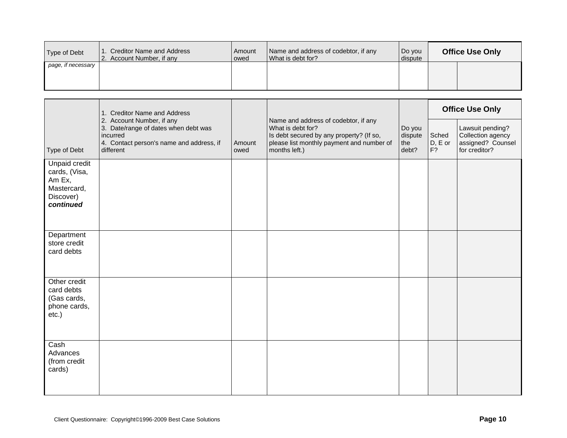| Type of Debt       | Creditor Name and Address<br>2. Account Number, if any | l Amount<br>lowed | Name and address of codebtor, if any<br>What is debt for? | Do you<br>dispute | <b>Office Use Only</b> |
|--------------------|--------------------------------------------------------|-------------------|-----------------------------------------------------------|-------------------|------------------------|
| page, if necessary |                                                        |                   |                                                           |                   |                        |
|                    |                                                        |                   |                                                           |                   |                        |
|                    |                                                        |                   |                                                           |                   |                        |
|                    |                                                        |                   |                                                           |                   |                        |

|                                                                                   | 1. Creditor Name and Address                                                                                                           |                |                                                                                                                                                                     |                                   |                        | <b>Office Use Only</b>                                                      |
|-----------------------------------------------------------------------------------|----------------------------------------------------------------------------------------------------------------------------------------|----------------|---------------------------------------------------------------------------------------------------------------------------------------------------------------------|-----------------------------------|------------------------|-----------------------------------------------------------------------------|
| Type of Debt                                                                      | 2. Account Number, if any<br>3. Date/range of dates when debt was<br>incurred<br>4. Contact person's name and address, if<br>different | Amount<br>owed | Name and address of codebtor, if any<br>What is debt for?<br>Is debt secured by any property? (If so,<br>please list monthly payment and number of<br>months left.) | Do you<br>dispute<br>the<br>debt? | Sched<br>D, E or<br>F? | Lawsuit pending?<br>Collection agency<br>assigned? Counsel<br>for creditor? |
| Unpaid credit<br>cards, (Visa,<br>Am Ex,<br>Mastercard,<br>Discover)<br>continued |                                                                                                                                        |                |                                                                                                                                                                     |                                   |                        |                                                                             |
| Department<br>store credit<br>card debts                                          |                                                                                                                                        |                |                                                                                                                                                                     |                                   |                        |                                                                             |
| Other credit<br>card debts<br>(Gas cards,<br>phone cards,<br>$etc.$ )             |                                                                                                                                        |                |                                                                                                                                                                     |                                   |                        |                                                                             |
| Cash<br>Advances<br>(from credit<br>cards)                                        |                                                                                                                                        |                |                                                                                                                                                                     |                                   |                        |                                                                             |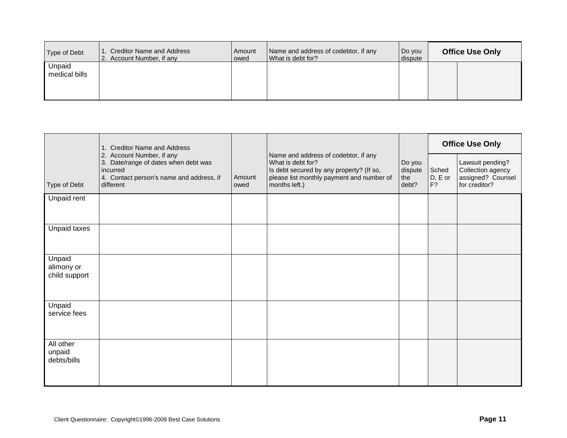| Type of Debt            | 1. Creditor Name and Address<br>2. Account Number, if any | Amount<br>owed | Name and address of codebtor, if any<br>What is debt for? | Do you<br>dispute | <b>Office Use Only</b> |
|-------------------------|-----------------------------------------------------------|----------------|-----------------------------------------------------------|-------------------|------------------------|
| Unpaid<br>medical bills |                                                           |                |                                                           |                   |                        |

|                                       | 1. Creditor Name and Address                                                                                                           |                |                                                                                                                                                                     |                                          |                        | <b>Office Use Only</b>                                                      |
|---------------------------------------|----------------------------------------------------------------------------------------------------------------------------------------|----------------|---------------------------------------------------------------------------------------------------------------------------------------------------------------------|------------------------------------------|------------------------|-----------------------------------------------------------------------------|
| Type of Debt                          | 2. Account Number, if any<br>3. Date/range of dates when debt was<br>incurred<br>4. Contact person's name and address, if<br>different | Amount<br>owed | Name and address of codebtor, if any<br>What is debt for?<br>Is debt secured by any property? (If so,<br>please list monthly payment and number of<br>months left.) | Do you<br>dispute<br><b>the</b><br>debt? | Sched<br>D, E or<br>F? | Lawsuit pending?<br>Collection agency<br>assigned? Counsel<br>for creditor? |
| Unpaid rent                           |                                                                                                                                        |                |                                                                                                                                                                     |                                          |                        |                                                                             |
| Unpaid taxes                          |                                                                                                                                        |                |                                                                                                                                                                     |                                          |                        |                                                                             |
| Unpaid<br>alimony or<br>child support |                                                                                                                                        |                |                                                                                                                                                                     |                                          |                        |                                                                             |
| Unpaid<br>service fees                |                                                                                                                                        |                |                                                                                                                                                                     |                                          |                        |                                                                             |
| All other<br>unpaid<br>debts/bills    |                                                                                                                                        |                |                                                                                                                                                                     |                                          |                        |                                                                             |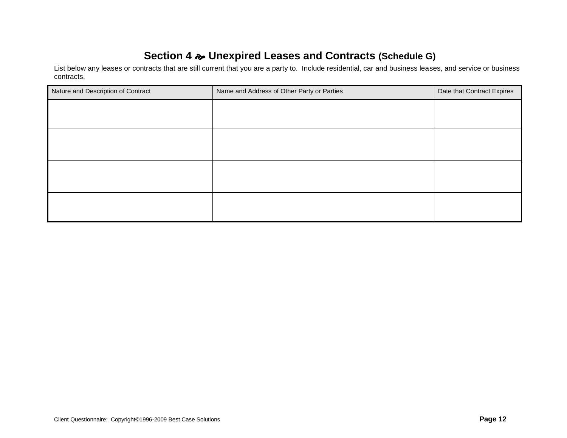# **Section 4 Unexpired Leases and Contracts (Schedule G)**

List below any leases or contracts that are still current that you are a party to. Include residential, car and business leases, and service or business contracts.

| Nature and Description of Contract | Name and Address of Other Party or Parties | Date that Contract Expires |
|------------------------------------|--------------------------------------------|----------------------------|
|                                    |                                            |                            |
|                                    |                                            |                            |
|                                    |                                            |                            |
|                                    |                                            |                            |
|                                    |                                            |                            |
|                                    |                                            |                            |
|                                    |                                            |                            |
|                                    |                                            |                            |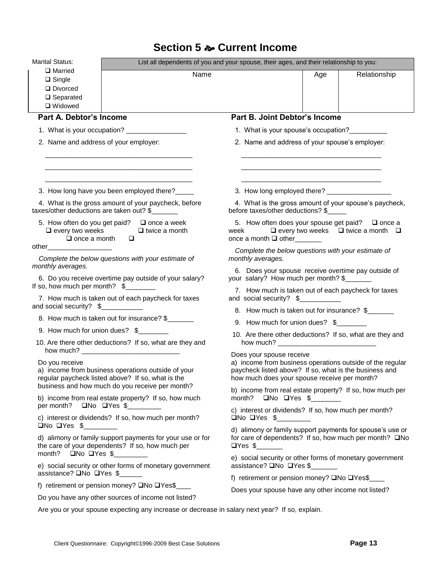# **Section 5 Current Income**

| Marital Status:<br>$\Box$ Married<br>$\Box$ Single<br>Divorced<br>$\square$ Separated<br>□ Widowed | List all dependents of you and your spouse, their ages, and their relationship to you:<br>Name                             |                                                                                                                                                                                                 | Age                                                                                       | Relationship |
|----------------------------------------------------------------------------------------------------|----------------------------------------------------------------------------------------------------------------------------|-------------------------------------------------------------------------------------------------------------------------------------------------------------------------------------------------|-------------------------------------------------------------------------------------------|--------------|
| <b>Part A. Debtor's Income</b>                                                                     |                                                                                                                            | Part B. Joint Debtor's Income                                                                                                                                                                   |                                                                                           |              |
|                                                                                                    | 1. What is your occupation? ________________                                                                               | 1. What is your spouse's occupation?                                                                                                                                                            |                                                                                           |              |
| 2. Name and address of your employer:                                                              |                                                                                                                            | 2. Name and address of your spouse's employer:                                                                                                                                                  |                                                                                           |              |
|                                                                                                    | 3. How long have you been employed there?_____                                                                             |                                                                                                                                                                                                 | the control of the control of the control of the control of the control of the control of |              |
|                                                                                                    | 4. What is the gross amount of your paycheck, before<br>$taxes/other$ deductions are taken out? $\frac{1}{2}$ ____________ | 4. What is the gross amount of your spouse's paycheck,<br>before taxes/other deductions? \$                                                                                                     |                                                                                           |              |
| $\Box$ once a month                                                                                | 5. How often do you get paid? $\Box$ once a week<br>$\Box$ every two weeks $\Box$ twice a month<br>$\Box$                  | week $\Box$ every two weeks $\Box$ twice a month $\Box$<br>once a month $\Box$ other _______                                                                                                    |                                                                                           |              |
| other_______________________<br>monthly averages.                                                  | Complete the below questions with your estimate of                                                                         | Complete the below questions with your estimate of<br>monthly averages.                                                                                                                         |                                                                                           |              |
| If so, how much per month? \$                                                                      | 6. Do you receive overtime pay outside of your salary?                                                                     | 6. Does your spouse receive overtime pay outside of<br>your salary? How much per month? \$                                                                                                      |                                                                                           |              |
| and social security? \$___________                                                                 | 7. How much is taken out of each paycheck for taxes                                                                        | 7. How much is taken out of each paycheck for taxes<br>and social security? \$                                                                                                                  |                                                                                           |              |
|                                                                                                    | 8. How much is taken out for insurance? \$                                                                                 | 8. How much is taken out for insurance? \$                                                                                                                                                      |                                                                                           |              |
|                                                                                                    | 9. How much for union dues? \$                                                                                             | 9. How much for union dues? \$                                                                                                                                                                  |                                                                                           |              |
|                                                                                                    | 10. Are there other deductions? If so, what are they and                                                                   | 10. Are there other deductions? If so, what are they and                                                                                                                                        |                                                                                           |              |
| Do you receive                                                                                     | a) income from business operations outside of your<br>regular paycheck listed above? If so, what is the                    | Does your spouse receive<br>a) income from business operations outside of the regular<br>paycheck listed above? If so, what is the business and<br>how much does your spouse receive per month? |                                                                                           |              |
|                                                                                                    | business and how much do you receive per month?<br>b) income from real estate property? If so, how much                    | b) income from real estate property? If so, how much per<br>month? $\Box$ No $\Box$ Yes \$                                                                                                      |                                                                                           |              |
| per month? $\Box$ No $\Box$ Yes \$__________<br>$\Box$ No $\Box$ Yes \$                            | c) interest or dividends? If so, how much per month?                                                                       | c) interest or dividends? If so, how much per month?<br>$\Box$ No $\Box$ Yes $\$\underline{\hspace{2cm}}$                                                                                       |                                                                                           |              |
| month? $\Box$ No $\Box$ Yes \$                                                                     | d) alimony or family support payments for your use or for<br>the care of your dependents? If so, how much per              | d) alimony or family support payments for spouse's use or<br>for care of dependents? If so, how much per month? □No<br>$\Box$ Yes \$                                                            |                                                                                           |              |
| assistance? □No □Yes \$                                                                            | e) social security or other forms of monetary government                                                                   | e) social security or other forms of monetary government<br>assistance? □No □Yes \$                                                                                                             |                                                                                           |              |
|                                                                                                    | f) retirement or pension money? □No □Yes\$                                                                                 | f) retirement or pension money? □No □Yes\$                                                                                                                                                      |                                                                                           |              |
|                                                                                                    | Do you have any other sources of income not listed?                                                                        | Does your spouse have any other income not listed?                                                                                                                                              |                                                                                           |              |
|                                                                                                    | Are you or your spouse expecting any increase or decrease in salary next year? If so, explain.                             |                                                                                                                                                                                                 |                                                                                           |              |
|                                                                                                    |                                                                                                                            |                                                                                                                                                                                                 |                                                                                           |              |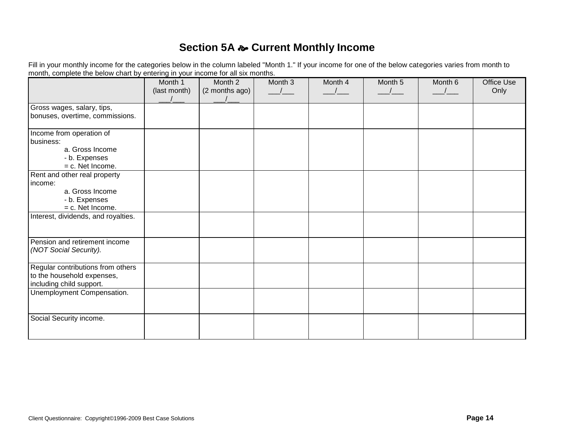## **Section 5A**  $\approx$  **Current Monthly Income**

Fill in your monthly income for the categories below in the column labeled "Month 1." If your income for one of the below categories varies from month to month, complete the below chart by entering in your income for all six months.

|                                     | Month 1<br>(last month) | Month 2<br>(2 months ago) | Month 3 | Month 4 | Month 5 | Month 6 | Office Use<br>Only |
|-------------------------------------|-------------------------|---------------------------|---------|---------|---------|---------|--------------------|
|                                     |                         |                           |         |         |         |         |                    |
| Gross wages, salary, tips,          |                         |                           |         |         |         |         |                    |
| bonuses, overtime, commissions.     |                         |                           |         |         |         |         |                    |
| Income from operation of            |                         |                           |         |         |         |         |                    |
| business:                           |                         |                           |         |         |         |         |                    |
| a. Gross Income                     |                         |                           |         |         |         |         |                    |
| - b. Expenses                       |                         |                           |         |         |         |         |                    |
| $= c.$ Net Income.                  |                         |                           |         |         |         |         |                    |
| Rent and other real property        |                         |                           |         |         |         |         |                    |
| income:                             |                         |                           |         |         |         |         |                    |
| a. Gross Income                     |                         |                           |         |         |         |         |                    |
| - b. Expenses                       |                         |                           |         |         |         |         |                    |
| $= c.$ Net Income.                  |                         |                           |         |         |         |         |                    |
| Interest, dividends, and royalties. |                         |                           |         |         |         |         |                    |
|                                     |                         |                           |         |         |         |         |                    |
| Pension and retirement income       |                         |                           |         |         |         |         |                    |
| (NOT Social Security).              |                         |                           |         |         |         |         |                    |
|                                     |                         |                           |         |         |         |         |                    |
| Regular contributions from others   |                         |                           |         |         |         |         |                    |
| to the household expenses,          |                         |                           |         |         |         |         |                    |
| including child support.            |                         |                           |         |         |         |         |                    |
| Unemployment Compensation.          |                         |                           |         |         |         |         |                    |
|                                     |                         |                           |         |         |         |         |                    |
| Social Security income.             |                         |                           |         |         |         |         |                    |
|                                     |                         |                           |         |         |         |         |                    |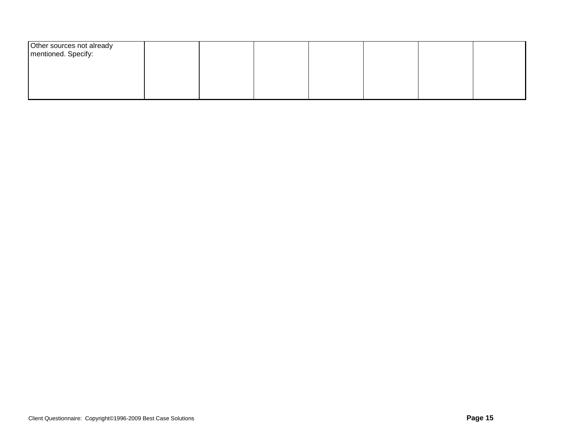| Other sources not already<br>mentioned. Specify: |  |  |  |  |
|--------------------------------------------------|--|--|--|--|
|                                                  |  |  |  |  |
|                                                  |  |  |  |  |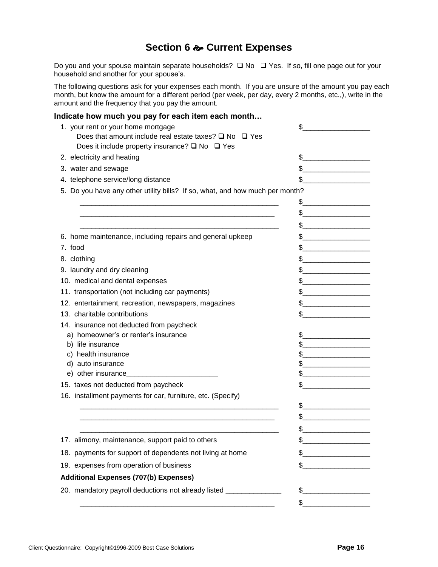### **Section 6 Current Expenses**

Do you and your spouse maintain separate households?  $\Box$  No  $\Box$  Yes. If so, fill one page out for your household and another for your spouse's.

The following questions ask for your expenses each month. If you are unsure of the amount you pay each month, but know the amount for a different period (per week, per day, every 2 months, etc.,), write in the amount and the frequency that you pay the amount.

#### **Indicate how much you pay for each item each month…**

| Does it include property insurance? $\square$ No $\square$ Yes<br>2. electricity and heating<br>\$<br>\$<br>3. water and sewage<br>\$<br>4. telephone service/long distance<br>5. Do you have any other utility bills? If so, what, and how much per month?<br>\$<br>\$<br>\$<br>\$<br>6. home maintenance, including repairs and general upkeep<br>\$<br>7. food<br>\$<br>8. clothing<br>9. laundry and dry cleaning<br>\$<br>\$<br>10. medical and dental expenses<br>11. transportation (not including car payments)<br>\$<br><u> 1989 - Johann Barbara, martxa al III-lea (h. 1974).</u><br>12. entertainment, recreation, newspapers, magazines<br>\$<br>13. charitable contributions<br>\$<br>14. insurance not deducted from paycheck<br>a) homeowner's or renter's insurance<br>\$<br><u> 1989 - Johann Barbara, martin da kasar A</u><br>\$<br>b) life insurance<br>health insurance<br>\$<br>C)<br>d) auto insurance<br>\$<br>e) other insurance_<br>\$<br>15. taxes not deducted from paycheck<br>\$<br>16. installment payments for car, furniture, etc. (Specify)<br>\$<br>\$<br>\$<br>17. alimony, maintenance, support paid to others<br>18. payments for support of dependents not living at home<br>\$ | 1. your rent or your home mortgage<br>Does that amount include real estate taxes? $\square$ No $\square$ Yes | \$ |
|-------------------------------------------------------------------------------------------------------------------------------------------------------------------------------------------------------------------------------------------------------------------------------------------------------------------------------------------------------------------------------------------------------------------------------------------------------------------------------------------------------------------------------------------------------------------------------------------------------------------------------------------------------------------------------------------------------------------------------------------------------------------------------------------------------------------------------------------------------------------------------------------------------------------------------------------------------------------------------------------------------------------------------------------------------------------------------------------------------------------------------------------------------------------------------------------------------------------------|--------------------------------------------------------------------------------------------------------------|----|
|                                                                                                                                                                                                                                                                                                                                                                                                                                                                                                                                                                                                                                                                                                                                                                                                                                                                                                                                                                                                                                                                                                                                                                                                                         |                                                                                                              |    |
|                                                                                                                                                                                                                                                                                                                                                                                                                                                                                                                                                                                                                                                                                                                                                                                                                                                                                                                                                                                                                                                                                                                                                                                                                         |                                                                                                              |    |
|                                                                                                                                                                                                                                                                                                                                                                                                                                                                                                                                                                                                                                                                                                                                                                                                                                                                                                                                                                                                                                                                                                                                                                                                                         |                                                                                                              |    |
|                                                                                                                                                                                                                                                                                                                                                                                                                                                                                                                                                                                                                                                                                                                                                                                                                                                                                                                                                                                                                                                                                                                                                                                                                         |                                                                                                              |    |
|                                                                                                                                                                                                                                                                                                                                                                                                                                                                                                                                                                                                                                                                                                                                                                                                                                                                                                                                                                                                                                                                                                                                                                                                                         |                                                                                                              |    |
|                                                                                                                                                                                                                                                                                                                                                                                                                                                                                                                                                                                                                                                                                                                                                                                                                                                                                                                                                                                                                                                                                                                                                                                                                         |                                                                                                              |    |
|                                                                                                                                                                                                                                                                                                                                                                                                                                                                                                                                                                                                                                                                                                                                                                                                                                                                                                                                                                                                                                                                                                                                                                                                                         |                                                                                                              |    |
|                                                                                                                                                                                                                                                                                                                                                                                                                                                                                                                                                                                                                                                                                                                                                                                                                                                                                                                                                                                                                                                                                                                                                                                                                         |                                                                                                              |    |
|                                                                                                                                                                                                                                                                                                                                                                                                                                                                                                                                                                                                                                                                                                                                                                                                                                                                                                                                                                                                                                                                                                                                                                                                                         |                                                                                                              |    |
|                                                                                                                                                                                                                                                                                                                                                                                                                                                                                                                                                                                                                                                                                                                                                                                                                                                                                                                                                                                                                                                                                                                                                                                                                         |                                                                                                              |    |
|                                                                                                                                                                                                                                                                                                                                                                                                                                                                                                                                                                                                                                                                                                                                                                                                                                                                                                                                                                                                                                                                                                                                                                                                                         |                                                                                                              |    |
|                                                                                                                                                                                                                                                                                                                                                                                                                                                                                                                                                                                                                                                                                                                                                                                                                                                                                                                                                                                                                                                                                                                                                                                                                         |                                                                                                              |    |
|                                                                                                                                                                                                                                                                                                                                                                                                                                                                                                                                                                                                                                                                                                                                                                                                                                                                                                                                                                                                                                                                                                                                                                                                                         |                                                                                                              |    |
|                                                                                                                                                                                                                                                                                                                                                                                                                                                                                                                                                                                                                                                                                                                                                                                                                                                                                                                                                                                                                                                                                                                                                                                                                         |                                                                                                              |    |
|                                                                                                                                                                                                                                                                                                                                                                                                                                                                                                                                                                                                                                                                                                                                                                                                                                                                                                                                                                                                                                                                                                                                                                                                                         |                                                                                                              |    |
|                                                                                                                                                                                                                                                                                                                                                                                                                                                                                                                                                                                                                                                                                                                                                                                                                                                                                                                                                                                                                                                                                                                                                                                                                         |                                                                                                              |    |
|                                                                                                                                                                                                                                                                                                                                                                                                                                                                                                                                                                                                                                                                                                                                                                                                                                                                                                                                                                                                                                                                                                                                                                                                                         |                                                                                                              |    |
|                                                                                                                                                                                                                                                                                                                                                                                                                                                                                                                                                                                                                                                                                                                                                                                                                                                                                                                                                                                                                                                                                                                                                                                                                         |                                                                                                              |    |
|                                                                                                                                                                                                                                                                                                                                                                                                                                                                                                                                                                                                                                                                                                                                                                                                                                                                                                                                                                                                                                                                                                                                                                                                                         |                                                                                                              |    |
|                                                                                                                                                                                                                                                                                                                                                                                                                                                                                                                                                                                                                                                                                                                                                                                                                                                                                                                                                                                                                                                                                                                                                                                                                         |                                                                                                              |    |
|                                                                                                                                                                                                                                                                                                                                                                                                                                                                                                                                                                                                                                                                                                                                                                                                                                                                                                                                                                                                                                                                                                                                                                                                                         |                                                                                                              |    |
|                                                                                                                                                                                                                                                                                                                                                                                                                                                                                                                                                                                                                                                                                                                                                                                                                                                                                                                                                                                                                                                                                                                                                                                                                         |                                                                                                              |    |
|                                                                                                                                                                                                                                                                                                                                                                                                                                                                                                                                                                                                                                                                                                                                                                                                                                                                                                                                                                                                                                                                                                                                                                                                                         |                                                                                                              |    |
|                                                                                                                                                                                                                                                                                                                                                                                                                                                                                                                                                                                                                                                                                                                                                                                                                                                                                                                                                                                                                                                                                                                                                                                                                         |                                                                                                              |    |
|                                                                                                                                                                                                                                                                                                                                                                                                                                                                                                                                                                                                                                                                                                                                                                                                                                                                                                                                                                                                                                                                                                                                                                                                                         |                                                                                                              |    |
|                                                                                                                                                                                                                                                                                                                                                                                                                                                                                                                                                                                                                                                                                                                                                                                                                                                                                                                                                                                                                                                                                                                                                                                                                         |                                                                                                              |    |
|                                                                                                                                                                                                                                                                                                                                                                                                                                                                                                                                                                                                                                                                                                                                                                                                                                                                                                                                                                                                                                                                                                                                                                                                                         |                                                                                                              |    |
|                                                                                                                                                                                                                                                                                                                                                                                                                                                                                                                                                                                                                                                                                                                                                                                                                                                                                                                                                                                                                                                                                                                                                                                                                         |                                                                                                              |    |
|                                                                                                                                                                                                                                                                                                                                                                                                                                                                                                                                                                                                                                                                                                                                                                                                                                                                                                                                                                                                                                                                                                                                                                                                                         |                                                                                                              |    |
|                                                                                                                                                                                                                                                                                                                                                                                                                                                                                                                                                                                                                                                                                                                                                                                                                                                                                                                                                                                                                                                                                                                                                                                                                         | 19. expenses from operation of business                                                                      | \$ |
| <b>Additional Expenses (707(b) Expenses)</b>                                                                                                                                                                                                                                                                                                                                                                                                                                                                                                                                                                                                                                                                                                                                                                                                                                                                                                                                                                                                                                                                                                                                                                            |                                                                                                              |    |
| 20. mandatory payroll deductions not already listed _______________<br>$\frac{1}{2}$                                                                                                                                                                                                                                                                                                                                                                                                                                                                                                                                                                                                                                                                                                                                                                                                                                                                                                                                                                                                                                                                                                                                    |                                                                                                              |    |
| \$                                                                                                                                                                                                                                                                                                                                                                                                                                                                                                                                                                                                                                                                                                                                                                                                                                                                                                                                                                                                                                                                                                                                                                                                                      |                                                                                                              |    |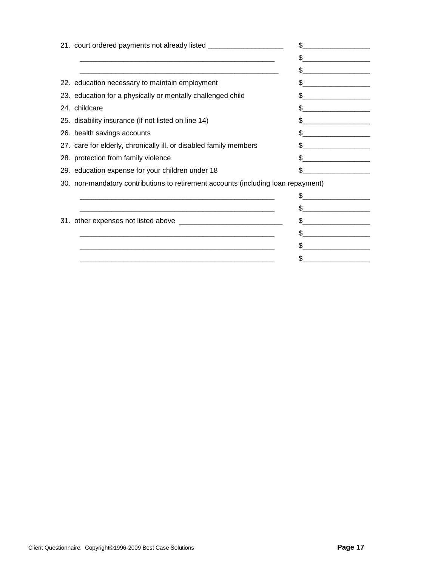| 21. court ordered payments not already listed __________________________________                                |     |
|-----------------------------------------------------------------------------------------------------------------|-----|
|                                                                                                                 | \$. |
| and the state of the state of the state of the state of the state of the state of the state of the state of the | \$  |
| 22. education necessary to maintain employment                                                                  | \$  |
| 23. education for a physically or mentally challenged child                                                     | \$. |
| 24. childcare                                                                                                   | \$. |
| 25. disability insurance (if not listed on line 14)                                                             | \$. |
| 26. health savings accounts                                                                                     |     |
| 27. care for elderly, chronically ill, or disabled family members                                               |     |
| 28. protection from family violence                                                                             | \$. |
| 29. education expense for your children under 18                                                                |     |
| 30. non-mandatory contributions to retirement accounts (including loan repayment)                               |     |
|                                                                                                                 |     |
|                                                                                                                 | \$  |
|                                                                                                                 | \$. |
|                                                                                                                 |     |
| <u> 1980 - Jan James James Barnett, amerikan bahasa (j. 1980)</u>                                               |     |
|                                                                                                                 | \$  |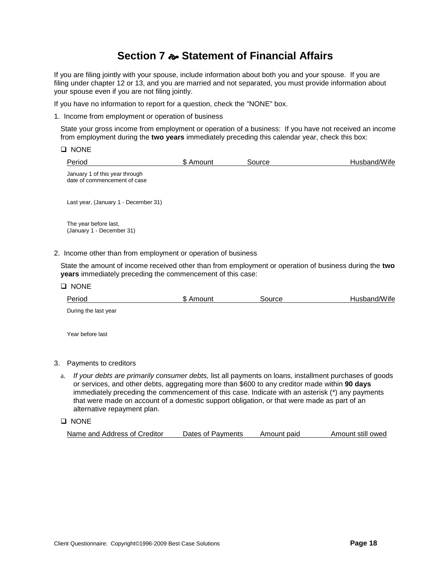## **Section 7 Statement of Financial Affairs**

If you are filing jointly with your spouse, include information about both you and your spouse. If you are filing under chapter 12 or 13, and you are married and not separated, you must provide information about your spouse even if you are not filing jointly.

If you have no information to report for a question, check the "NONE" box.

1. Income from employment or operation of business

State your gross income from employment or operation of a business: If you have not received an income from employment during the **two years** immediately preceding this calendar year, check this box:

|  | ١N<br>r |
|--|---------|
|--|---------|

| Period                                                         | \$ Amount | Source | Husband/Wife |
|----------------------------------------------------------------|-----------|--------|--------------|
| January 1 of this year through<br>date of commencement of case |           |        |              |
| Last year, (January 1 - December 31)                           |           |        |              |
| The year before last,<br>(January 1 - December 31)             |           |        |              |
| 2. Income other than from employment or operation of business  |           |        |              |

State the amount of income received other than from employment or operation of business during the **two years** immediately preceding the commencement of this case:

**Q** NONE

| Period               | \$ Amount | Source | Husband/Wife |
|----------------------|-----------|--------|--------------|
| During the last year |           |        |              |

Year before last

#### 3. Payments to creditors

a. *If your debts are primarily consumer debts,* list all payments on loans, installment purchases of goods or services, and other debts, aggregating more than \$600 to any creditor made within **90 days**  immediately preceding the commencement of this case. Indicate with an asterisk (\*) any payments that were made on account of a domestic support obligation, or that were made as part of an alternative repayment plan.

**Q** NONE

| Name and Address of Creditor | Dates of Pavments | Amount paid | Amount still owed |
|------------------------------|-------------------|-------------|-------------------|
|                              |                   |             |                   |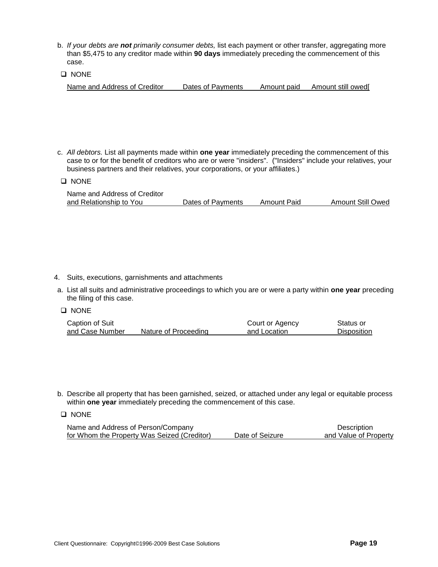- b. *If your debts are not primarily consumer debts,* list each payment or other transfer, aggregating more than \$5,475 to any creditor made within **90 days** immediately preceding the commencement of this case.
- **D** NONE

| Name and Address of Creditor | Dates of Payments | Amount paid | Amount still owedl |
|------------------------------|-------------------|-------------|--------------------|
|                              |                   |             |                    |

- c. *All debtors.* List all payments made within **one year** immediately preceding the commencement of this case to or for the benefit of creditors who are or were "insiders". ("Insiders" include your relatives, your business partners and their relatives, your corporations, or your affiliates.)
- **Q** NONE

| Name and Address of Creditor |                   |             |                          |
|------------------------------|-------------------|-------------|--------------------------|
| and Relationship to You      | Dates of Payments | Amount Paid | <b>Amount Still Owed</b> |

- 4. Suits, executions, garnishments and attachments
- a. List all suits and administrative proceedings to which you are or were a party within **one year** preceding the filing of this case.
- **Q** NONE

| Caption of Suit |                      | Court or Agency | Status or          |
|-----------------|----------------------|-----------------|--------------------|
| and Case Number | Nature of Proceeding | and Location    | <b>Disposition</b> |

- b. Describe all property that has been garnished, seized, or attached under any legal or equitable process within **one year** immediately preceding the commencement of this case.
- **Q** NONE

| Name and Address of Person/Company          |                 | Description           |
|---------------------------------------------|-----------------|-----------------------|
| for Whom the Property Was Seized (Creditor) | Date of Seizure | and Value of Property |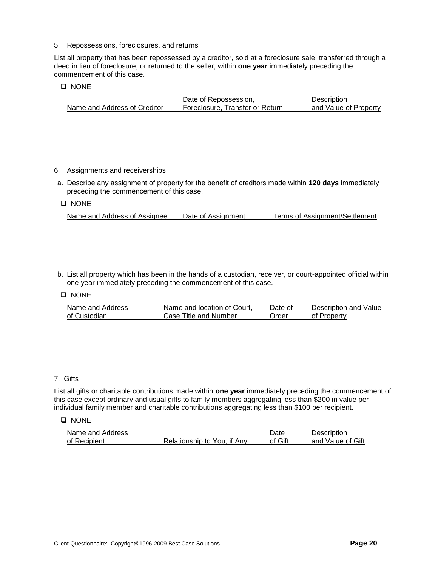5. Repossessions, foreclosures, and returns

List all property that has been repossessed by a creditor, sold at a foreclosure sale, transferred through a deed in lieu of foreclosure, or returned to the seller, within **one year** immediately preceding the commencement of this case.

#### **Q** NONE

|                              | Date of Repossession,           | Description           |
|------------------------------|---------------------------------|-----------------------|
| Name and Address of Creditor | Foreclosure. Transfer or Return | and Value of Property |

#### 6. Assignments and receiverships

a. Describe any assignment of property for the benefit of creditors made within **120 days** immediately preceding the commencement of this case.

#### **Q** NONE

| Name and Address of Assignee | Date of Assignment | Terms of Assignment/Settlement |
|------------------------------|--------------------|--------------------------------|
|                              |                    |                                |

b. List all property which has been in the hands of a custodian, receiver, or court-appointed official within one year immediately preceding the commencement of this case.

#### **Q** NONE

| Name and Address | Name and location of Court, | Date of | Description and Value |
|------------------|-----------------------------|---------|-----------------------|
| of Custodian     | Case Title and Number       | Order   | of Property           |

#### 7. Gifts

List all gifts or charitable contributions made within **one year** immediately preceding the commencement of this case except ordinary and usual gifts to family members aggregating less than \$200 in value per individual family member and charitable contributions aggregating less than \$100 per recipient.

#### **D** NONE

| Name and Address |                             | Date    | Description       |
|------------------|-----------------------------|---------|-------------------|
| of Recipient     | Relationship to You, if Any | of Gift | and Value of Gift |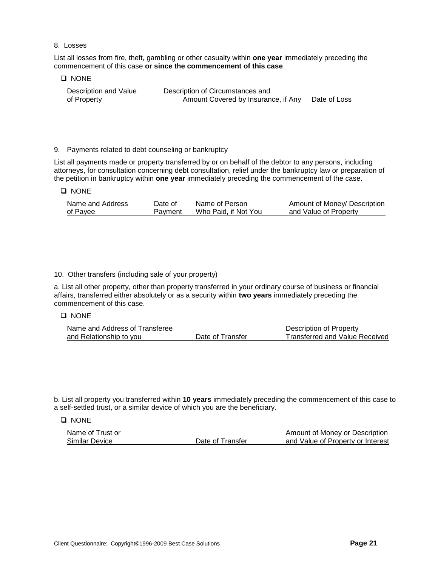#### 8. Losses

List all losses from fire, theft, gambling or other casualty within **one year** immediately preceding the commencement of this case **or since the commencement of this case**.

#### **D** NONE

**Q** NONE

Description and Value Description of Circumstances and of Property Amount Covered by Insurance, if Any Date of Loss

#### 9. Payments related to debt counseling or bankruptcy

List all payments made or property transferred by or on behalf of the debtor to any persons, including attorneys, for consultation concerning debt consultation, relief under the bankruptcy law or preparation of the petition in bankruptcy within **one year** immediately preceding the commencement of the case.

| Name and Address | Date of | Name of Person       | Amount of Money/ Description |
|------------------|---------|----------------------|------------------------------|
| of Payee         | Payment | Who Paid, if Not You | and Value of Property        |

#### 10. Other transfers (including sale of your property)

a. List all other property, other than property transferred in your ordinary course of business or financial affairs, transferred either absolutely or as a security within **two years** immediately preceding the commencement of this case.

#### **Q** NONE

| Name and Address of Transferee |                  | Description of Property               |
|--------------------------------|------------------|---------------------------------------|
| and Relationship to you        | Date of Transfer | <b>Transferred and Value Received</b> |

b. List all property you transferred within **10 years** immediately preceding the commencement of this case to a self-settled trust, or a similar device of which you are the beneficiary.

D NONE

| Name of Trust or |                  | Amount of Money or Description    |
|------------------|------------------|-----------------------------------|
| Similar Device   | Date of Transfer | and Value of Property or Interest |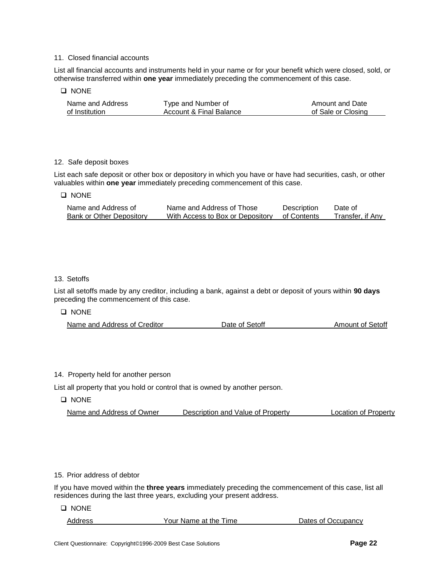#### 11. Closed financial accounts

List all financial accounts and instruments held in your name or for your benefit which were closed, sold, or otherwise transferred within **one year** immediately preceding the commencement of this case.

#### **Q** NONE

| Name and Address | Type and Number of      | Amount and Date    |
|------------------|-------------------------|--------------------|
| of Institution   | Account & Final Balance | of Sale or Closing |

#### 12. Safe deposit boxes

List each safe deposit or other box or depository in which you have or have had securities, cash, or other valuables within **one year** immediately preceding commencement of this case.

#### **Q** NONE

| Name and Address of      | Name and Address of Those        | Description | Date of          |
|--------------------------|----------------------------------|-------------|------------------|
| Bank or Other Depository | With Access to Box or Depository | of Contents | Transfer, if Any |

#### 13. Setoffs

List all setoffs made by any creditor, including a bank, against a debt or deposit of yours within **90 days** preceding the commencement of this case.

#### **Q** NONE

#### 14. Property held for another person

List all property that you hold or control that is owned by another person.

**D** NONE

| Name and Address of Owner | Description and Value of Property | Location of Property |
|---------------------------|-----------------------------------|----------------------|
|                           |                                   |                      |

#### 15. Prior address of debtor

If you have moved within the **three years** immediately preceding the commencement of this case, list all residences during the last three years, excluding your present address.

**Q** NONE

| Address | Your Name at the Time | Dates of Occupancy |
|---------|-----------------------|--------------------|
|         |                       |                    |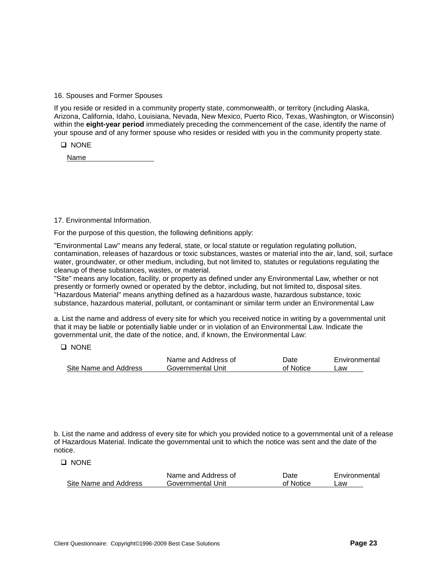16. Spouses and Former Spouses

If you reside or resided in a community property state, commonwealth, or territory (including Alaska, Arizona, California, Idaho, Louisiana, Nevada, New Mexico, Puerto Rico, Texas, Washington, or Wisconsin) within the **eight-year period** immediately preceding the commencement of the case, identify the name of your spouse and of any former spouse who resides or resided with you in the community property state.

**Q** NONE

Name

17. Environmental Information.

For the purpose of this question, the following definitions apply:

"Environmental Law" means any federal, state, or local statute or regulation regulating pollution, contamination, releases of hazardous or toxic substances, wastes or material into the air, land, soil, surface water, groundwater, or other medium, including, but not limited to, statutes or regulations regulating the cleanup of these substances, wastes, or material.

"Site" means any location, facility, or property as defined under any Environmental Law, whether or not presently or formerly owned or operated by the debtor, including, but not limited to, disposal sites. "Hazardous Material" means anything defined as a hazardous waste, hazardous substance, toxic substance, hazardous material, pollutant, or contaminant or similar term under an Environmental Law

a. List the name and address of every site for which you received notice in writing by a governmental unit that it may be liable or potentially liable under or in violation of an Environmental Law. Indicate the governmental unit, the date of the notice, and, if known, the Environmental Law:

**Q** NONE

|                       | Name and Address of | Date      | Environmental |
|-----------------------|---------------------|-----------|---------------|
| Site Name and Address | Governmental Unit   | of Notice | ∟aw           |

b. List the name and address of every site for which you provided notice to a governmental unit of a release of Hazardous Material. Indicate the governmental unit to which the notice was sent and the date of the notice.

**Q** NONE

|                       | Name and Address of | Date      | Environmental |
|-----------------------|---------------------|-----------|---------------|
| Site Name and Address | Governmental Unit   | of Notice | _aw           |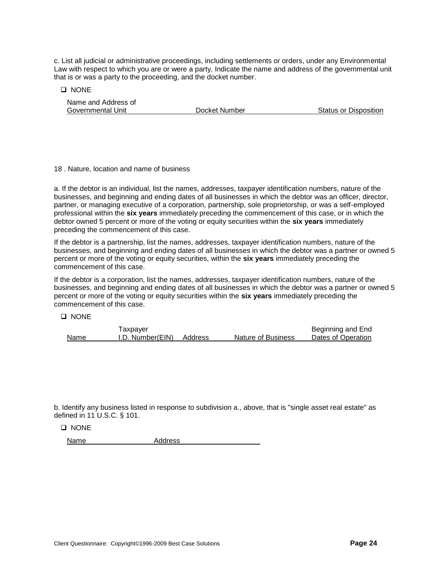c. List all judicial or administrative proceedings, including settlements or orders, under any Environmental Law with respect to which you are or were a party. Indicate the name and address of the governmental unit that is or was a party to the proceeding, and the docket number.

**D** NONE

| Name and Address of |               |                       |
|---------------------|---------------|-----------------------|
| Governmental Unit   | Docket Number | Status or Disposition |

#### 18 . Nature, location and name of business

a. If the debtor is an individual, list the names, addresses, taxpayer identification numbers, nature of the businesses, and beginning and ending dates of all businesses in which the debtor was an officer, director, partner, or managing executive of a corporation, partnership, sole proprietorship, or was a self-employed professional within the **six years** immediately preceding the commencement of this case, or in which the debtor owned 5 percent or more of the voting or equity securities within the **six years** immediately preceding the commencement of this case.

If the debtor is a partnership, list the names, addresses, taxpayer identification numbers, nature of the businesses, and beginning and ending dates of all businesses in which the debtor was a partner or owned 5 percent or more of the voting or equity securities, within the **six years** immediately preceding the commencement of this case.

If the debtor is a corporation, list the names, addresses, taxpayer identification numbers, nature of the businesses, and beginning and ending dates of all businesses in which the debtor was a partner or owned 5 percent or more of the voting or equity securities within the **six years** immediately preceding the commencement of this case.

#### **D** NONE

|      | Taxpayer         |         |                    | Beginning and End  |
|------|------------------|---------|--------------------|--------------------|
| Name | I.D. Number(EIN) | Address | Nature of Business | Dates of Operation |

b. Identify any business listed in response to subdivision a., above, that is "single asset real estate" as defined in 11 U.S.C. § 101.

|  | NONE |
|--|------|
|--|------|

Name Address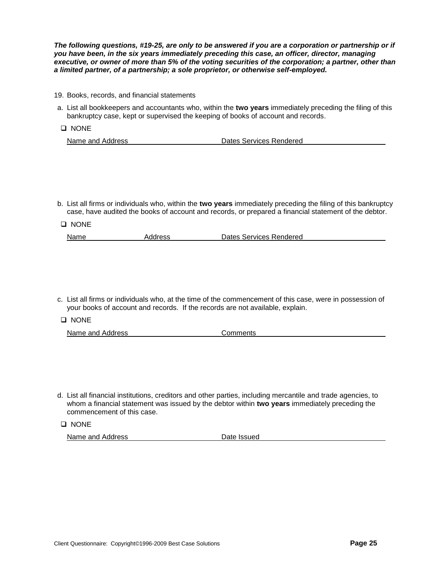*The following questions, #19-25, are only to be answered if you are a corporation or partnership or if you have been, in the six years immediately preceding this case, an officer, director, managing executive, or owner of more than 5% of the voting securities of the corporation; a partner, other than a limited partner, of a partnership; a sole proprietor, or otherwise self-employed.*

- 19. Books, records, and financial statements
- a. List all bookkeepers and accountants who, within the **two years** immediately preceding the filing of this bankruptcy case, kept or supervised the keeping of books of account and records.
- **Q** NONE

| Name and Address | Dates Services Rendered |
|------------------|-------------------------|
|                  |                         |

b. List all firms or individuals who, within the **two years** immediately preceding the filing of this bankruptcy case, have audited the books of account and records, or prepared a financial statement of the debtor.

| $\Box$ NONE |         |                         |  |
|-------------|---------|-------------------------|--|
| Name        | Address | Dates Services Rendered |  |

- c. List all firms or individuals who, at the time of the commencement of this case, were in possession of your books of account and records. If the records are not available, explain.
- **Q** NONE
	- Name and Address Comments
- d. List all financial institutions, creditors and other parties, including mercantile and trade agencies, to whom a financial statement was issued by the debtor within **two years** immediately preceding the commencement of this case.

**Q** NONE

Name and Address Date Issued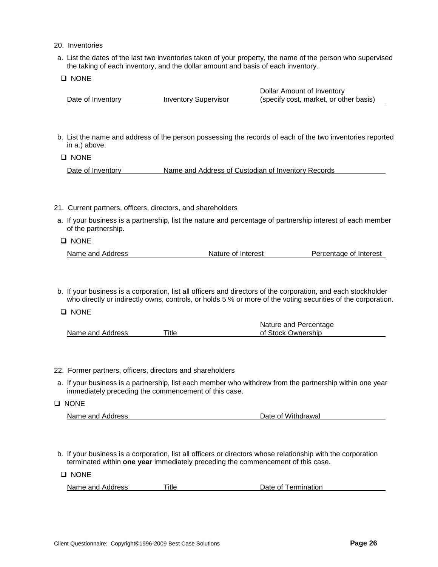- 20. Inventories
- a. List the dates of the last two inventories taken of your property, the name of the person who supervised the taking of each inventory, and the dollar amount and basis of each inventory.
- **Q** NONE

|                   |                             | Dollar Amount of Inventory             |
|-------------------|-----------------------------|----------------------------------------|
| Date of Inventory | <b>Inventory Supervisor</b> | (specify cost, market, or other basis) |

b. List the name and address of the person possessing the records of each of the two inventories reported in a.) above.

**Q** NONE

Date of Inventory Name and Address of Custodian of Inventory Records

- 21. Current partners, officers, directors, and shareholders
- a. If your business is a partnership, list the nature and percentage of partnership interest of each member of the partnership.

**Q** NONE

| Name and Address | Nature of Interest | Percentage of Interest |
|------------------|--------------------|------------------------|
|                  |                    |                        |

b. If your business is a corporation, list all officers and directors of the corporation, and each stockholder who directly or indirectly owns, controls, or holds 5 % or more of the voting securities of the corporation.

**Q** NONE

|                  |             | Nature and Percentage |  |
|------------------|-------------|-----------------------|--|
| Name and Address | $\tau$ itle | of Stock Ownership    |  |

- 22. Former partners, officers, directors and shareholders
- a. If your business is a partnership, list each member who withdrew from the partnership within one year immediately preceding the commencement of this case.
- **Q** NONE Name and Address **Name and Address Date of Withdrawal**
- b. If your business is a corporation, list all officers or directors whose relationship with the corporation terminated within **one year** immediately preceding the commencement of this case.

**D** NONE

| Name and Address | ⊤itle | Date of Termination |
|------------------|-------|---------------------|
|                  |       |                     |